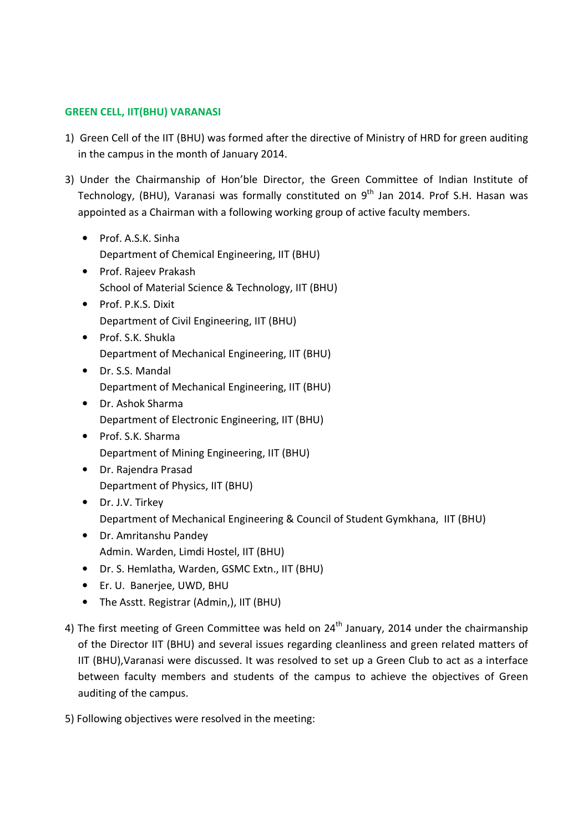#### GREEN CELL, IIT(BHU) VARANASI

- 1) Green Cell of the IIT (BHU) was formed after the directive of Ministry of HRD for green auditing in the campus in the month of January 2014.
- 3) Under the Chairmanship of Hon'ble Director, the Green Committee of Indian Institute of Technology, (BHU), Varanasi was formally constituted on 9<sup>th</sup> Jan 2014. Prof S.H. Hasan was appointed as a Chairman with a following working group of active faculty members.
	- Prof. A.S.K. Sinha Department of Chemical Engineering, IIT (BHU)
	- Prof. Rajeev Prakash School of Material Science & Technology, IIT (BHU)
	- Prof. P.K.S. Dixit Department of Civil Engineering, IIT (BHU)
	- Prof. S.K. Shukla Department of Mechanical Engineering, IIT (BHU)
	- Dr. S.S. Mandal Department of Mechanical Engineering, IIT (BHU)
	- Dr. Ashok Sharma Department of Electronic Engineering, IIT (BHU)
	- Prof. S.K. Sharma Department of Mining Engineering, IIT (BHU)
	- Dr. Rajendra Prasad Department of Physics, IIT (BHU)
	- Dr. J.V. Tirkey Department of Mechanical Engineering & Council of Student Gymkhana, IIT (BHU)
	- Dr. Amritanshu Pandey Admin. Warden, Limdi Hostel, IIT (BHU)
	- Dr. S. Hemlatha, Warden, GSMC Extn., IIT (BHU)
	- Er. U. Banerjee, UWD, BHU
	- The Asstt. Registrar (Admin,), IIT (BHU)
- 4) The first meeting of Green Committee was held on  $24<sup>th</sup>$  January, 2014 under the chairmanship of the Director IIT (BHU) and several issues regarding cleanliness and green related matters of IIT (BHU),Varanasi were discussed. It was resolved to set up a Green Club to act as a interface between faculty members and students of the campus to achieve the objectives of Green auditing of the campus.
- 5) Following objectives were resolved in the meeting: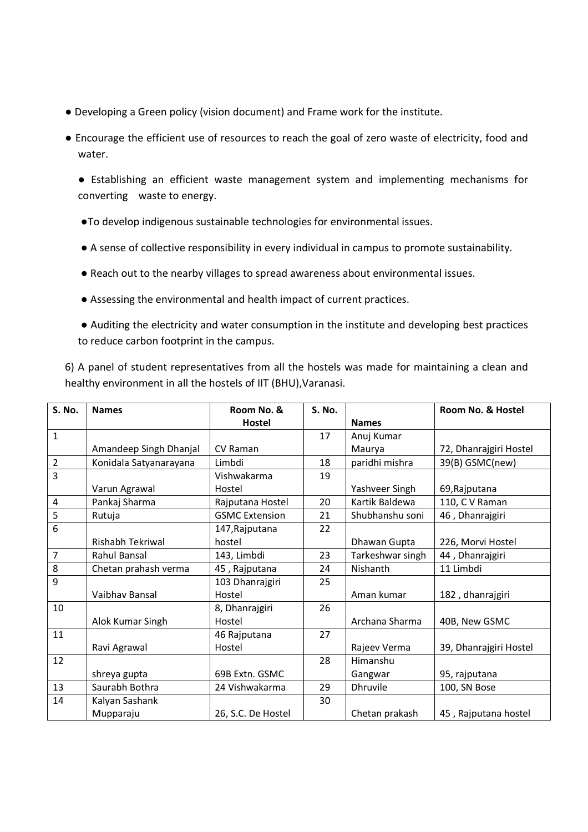- Developing a Green policy (vision document) and Frame work for the institute.
- Encourage the efficient use of resources to reach the goal of zero waste of electricity, food and water.

 ● Establishing an efficient waste management system and implementing mechanisms for converting waste to energy.

- ●To develop indigenous sustainable technologies for environmental issues.
- A sense of collective responsibility in every individual in campus to promote sustainability.
- Reach out to the nearby villages to spread awareness about environmental issues.
- Assessing the environmental and health impact of current practices.

 ● Auditing the electricity and water consumption in the institute and developing best practices to reduce carbon footprint in the campus.

6) A panel of student representatives from all the hostels was made for maintaining a clean and healthy environment in all the hostels of IIT (BHU),Varanasi.

| S. No.         | <b>Names</b>           | Room No. &            | S. No. |                  | Room No. & Hostel      |
|----------------|------------------------|-----------------------|--------|------------------|------------------------|
|                |                        | Hostel                |        | <b>Names</b>     |                        |
| $\mathbf{1}$   |                        |                       | 17     | Anuj Kumar       |                        |
|                | Amandeep Singh Dhanjal | <b>CV Raman</b>       |        | Maurya           | 72, Dhanrajgiri Hostel |
| $\overline{2}$ | Konidala Satyanarayana | Limbdi                | 18     | paridhi mishra   | 39(B) GSMC(new)        |
| 3              |                        | Vishwakarma           | 19     |                  |                        |
|                | Varun Agrawal          | Hostel                |        | Yashveer Singh   | 69, Rajputana          |
| $\sqrt{4}$     | Pankaj Sharma          | Rajputana Hostel      | 20     | Kartik Baldewa   | 110, C V Raman         |
| 5              | Rutuja                 | <b>GSMC Extension</b> | 21     | Shubhanshu soni  | 46, Dhanrajgiri        |
| 6              |                        | 147, Rajputana        | 22     |                  |                        |
|                | Rishabh Tekriwal       | hostel                |        | Dhawan Gupta     | 226, Morvi Hostel      |
| 7              | Rahul Bansal           | 143, Limbdi           | 23     | Tarkeshwar singh | 44, Dhanrajgiri        |
| $\bf 8$        | Chetan prahash verma   | 45, Rajputana         | 24     | Nishanth         | 11 Limbdi              |
| 9              |                        | 103 Dhanrajgiri       | 25     |                  |                        |
|                | Vaibhav Bansal         | Hostel                |        | Aman kumar       | 182, dhanrajgiri       |
| 10             |                        | 8, Dhanrajgiri        | 26     |                  |                        |
|                | Alok Kumar Singh       | Hostel                |        | Archana Sharma   | 40B, New GSMC          |
| 11             |                        | 46 Rajputana          | 27     |                  |                        |
|                | Ravi Agrawal           | Hostel                |        | Rajeev Verma     | 39, Dhanrajgiri Hostel |
| 12             |                        |                       | 28     | Himanshu         |                        |
|                | shreya gupta           | 69B Extn. GSMC        |        | Gangwar          | 95, rajputana          |
| 13             | Saurabh Bothra         | 24 Vishwakarma        | 29     | <b>Dhruvile</b>  | 100, SN Bose           |
| 14             | Kalyan Sashank         |                       | 30     |                  |                        |
|                | Mupparaju              | 26, S.C. De Hostel    |        | Chetan prakash   | 45, Rajputana hostel   |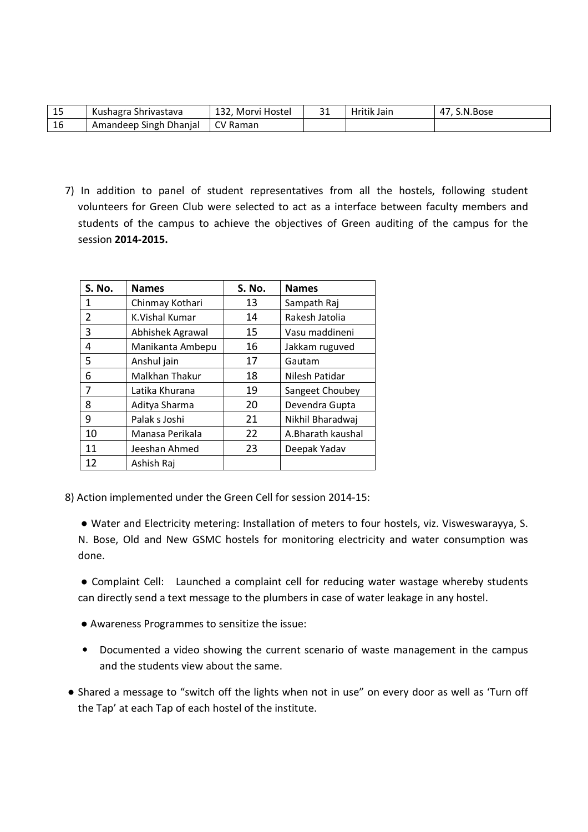| - 1 E<br>ند | Kushagra Shrivastava   | 132, Morvi Hostel | Hritik Jain | S.N.Bose |
|-------------|------------------------|-------------------|-------------|----------|
| 16          | Amandeep Singh Dhanjal | CV Raman          |             |          |

7) In addition to panel of student representatives from all the hostels, following student volunteers for Green Club were selected to act as a interface between faculty members and students of the campus to achieve the objectives of Green auditing of the campus for the session 2014-2015.

| <b>S. No.</b> | <b>Names</b>     | <b>S. No.</b> | <b>Names</b>      |
|---------------|------------------|---------------|-------------------|
| 1             | Chinmay Kothari  | 13            | Sampath Raj       |
| 2             | K.Vishal Kumar   | 14            | Rakesh Jatolia    |
| 3             | Abhishek Agrawal | 15            | Vasu maddineni    |
| 4             | Manikanta Ambepu | 16            | Jakkam ruguved    |
| 5             | Anshul jain      | 17            | Gautam            |
| 6             | Malkhan Thakur   | 18            | Nilesh Patidar    |
| 7             | Latika Khurana   | 19            | Sangeet Choubey   |
| 8             | Aditya Sharma    | 20            | Devendra Gupta    |
| 9             | Palak s Joshi    | 21            | Nikhil Bharadwaj  |
| 10            | Manasa Perikala  | 22            | A.Bharath kaushal |
| 11            | Jeeshan Ahmed    | 23            | Deepak Yadav      |
| 12            | Ashish Raj       |               |                   |

8) Action implemented under the Green Cell for session 2014-15:

 ● Water and Electricity metering: Installation of meters to four hostels, viz. Visweswarayya, S. N. Bose, Old and New GSMC hostels for monitoring electricity and water consumption was done.

 ● Complaint Cell: Launched a complaint cell for reducing water wastage whereby students can directly send a text message to the plumbers in case of water leakage in any hostel.

- Awareness Programmes to sensitize the issue:
- Documented a video showing the current scenario of waste management in the campus and the students view about the same.
- Shared a message to "switch off the lights when not in use" on every door as well as 'Turn off the Tap' at each Tap of each hostel of the institute.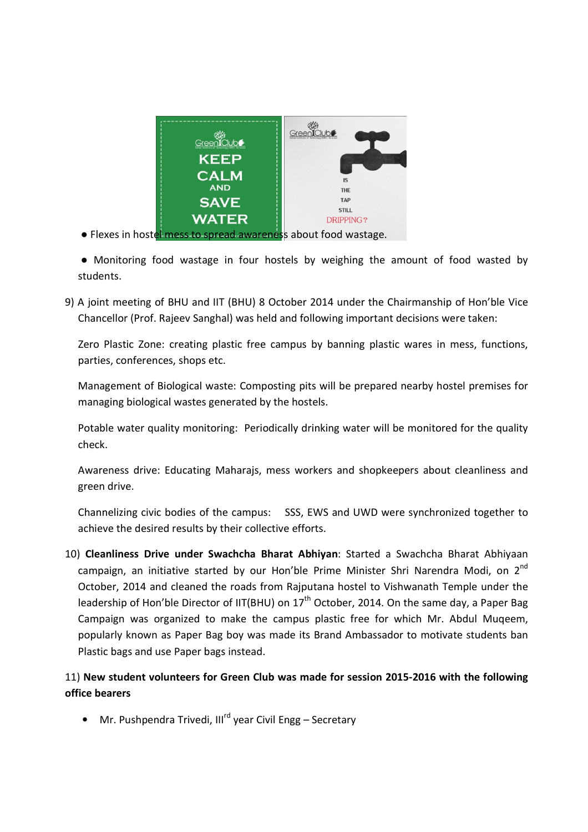

● Flexes in hostel mess to spread awareness about food wastage.

 ● Monitoring food wastage in four hostels by weighing the amount of food wasted by students.

9) A joint meeting of BHU and IIT (BHU) 8 October 2014 under the Chairmanship of Hon'ble Vice Chancellor (Prof. Rajeev Sanghal) was held and following important decisions were taken:

 Zero Plastic Zone: creating plastic free campus by banning plastic wares in mess, functions, parties, conferences, shops etc.

 Management of Biological waste: Composting pits will be prepared nearby hostel premises for managing biological wastes generated by the hostels.

Potable water quality monitoring: Periodically drinking water will be monitored for the quality check.

Awareness drive: Educating Maharajs, mess workers and shopkeepers about cleanliness and green drive.

Channelizing civic bodies of the campus: SSS, EWS and UWD were synchronized together to achieve the desired results by their collective efforts.

10) Cleanliness Drive under Swachcha Bharat Abhiyan: Started a Swachcha Bharat Abhiyaan campaign, an initiative started by our Hon'ble Prime Minister Shri Narendra Modi, on  $2^{nd}$ October, 2014 and cleaned the roads from Rajputana hostel to Vishwanath Temple under the leadership of Hon'ble Director of IIT(BHU) on 17<sup>th</sup> October, 2014. On the same day, a Paper Bag Campaign was organized to make the campus plastic free for which Mr. Abdul Muqeem, popularly known as Paper Bag boy was made its Brand Ambassador to motivate students ban Plastic bags and use Paper bags instead.

## 11) New student volunteers for Green Club was made for session 2015-2016 with the following office bearers

• Mr. Pushpendra Trivedi, Ill<sup>rd</sup> year Civil Engg – Secretary